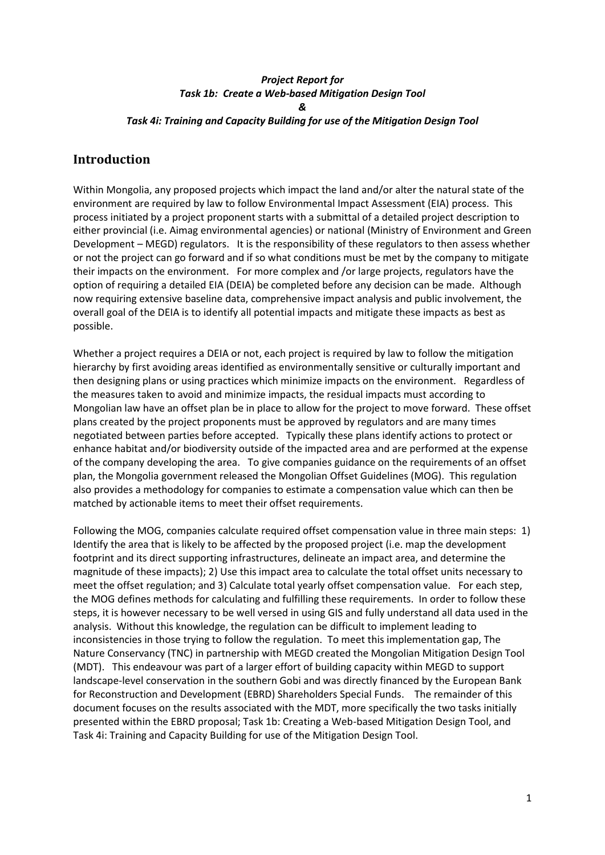## *Project Report for Task 1b: Create a Web-based Mitigation Design Tool & Task 4i: Training and Capacity Building for use of the Mitigation Design Tool*

## **Introduction**

Within Mongolia, any proposed projects which impact the land and/or alter the natural state of the environment are required by law to follow Environmental Impact Assessment (EIA) process. This process initiated by a project proponent starts with a submittal of a detailed project description to either provincial (i.e. Aimag environmental agencies) or national (Ministry of Environment and Green Development – MEGD) regulators. It is the responsibility of these regulators to then assess whether or not the project can go forward and if so what conditions must be met by the company to mitigate their impacts on the environment. For more complex and /or large projects, regulators have the option of requiring a detailed EIA (DEIA) be completed before any decision can be made. Although now requiring extensive baseline data, comprehensive impact analysis and public involvement, the overall goal of the DEIA is to identify all potential impacts and mitigate these impacts as best as possible.

Whether a project requires a DEIA or not, each project is required by law to follow the mitigation hierarchy by first avoiding areas identified as environmentally sensitive or culturally important and then designing plans or using practices which minimize impacts on the environment. Regardless of the measures taken to avoid and minimize impacts, the residual impacts must according to Mongolian law have an offset plan be in place to allow for the project to move forward. These offset plans created by the project proponents must be approved by regulators and are many times negotiated between parties before accepted. Typically these plans identify actions to protect or enhance habitat and/or biodiversity outside of the impacted area and are performed at the expense of the company developing the area. To give companies guidance on the requirements of an offset plan, the Mongolia government released the Mongolian Offset Guidelines (MOG). This regulation also provides a methodology for companies to estimate a compensation value which can then be matched by actionable items to meet their offset requirements.

Following the MOG, companies calculate required offset compensation value in three main steps: 1) Identify the area that is likely to be affected by the proposed project (i.e. map the development footprint and its direct supporting infrastructures, delineate an impact area, and determine the magnitude of these impacts); 2) Use this impact area to calculate the total offset units necessary to meet the offset regulation; and 3) Calculate total yearly offset compensation value. For each step, the MOG defines methods for calculating and fulfilling these requirements. In order to follow these steps, it is however necessary to be well versed in using GIS and fully understand all data used in the analysis. Without this knowledge, the regulation can be difficult to implement leading to inconsistencies in those trying to follow the regulation. To meet this implementation gap, The Nature Conservancy (TNC) in partnership with MEGD created the Mongolian Mitigation Design Tool (MDT). This endeavour was part of a larger effort of building capacity within MEGD to support landscape-level conservation in the southern Gobi and was directly financed by the European Bank for Reconstruction and Development (EBRD) Shareholders Special Funds. The remainder of this document focuses on the results associated with the MDT, more specifically the two tasks initially presented within the EBRD proposal; Task 1b: Creating a Web-based Mitigation Design Tool, and Task 4i: Training and Capacity Building for use of the Mitigation Design Tool.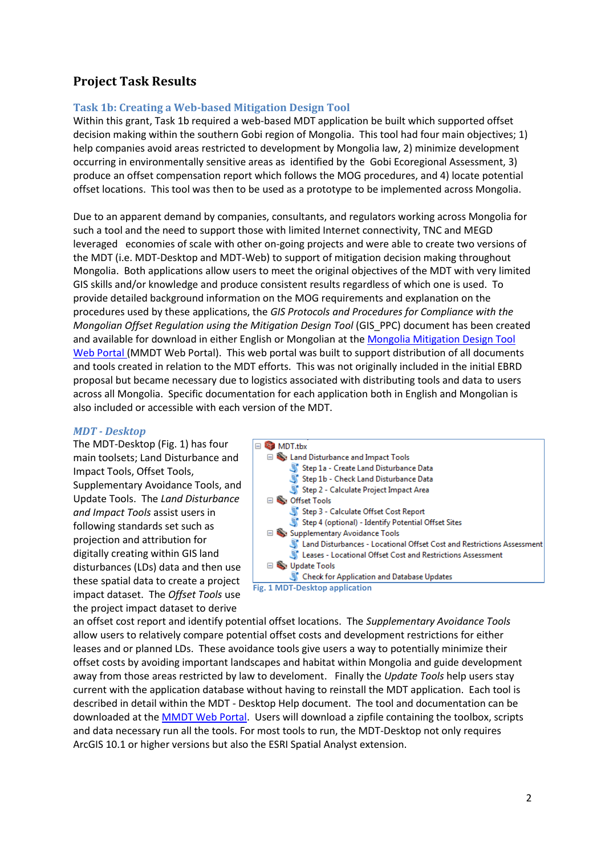## **Project Task Results**

#### **Task 1b: Creating a Web-based Mitigation Design Tool**

Within this grant, Task 1b required a web-based MDT application be built which supported offset decision making within the southern Gobi region of Mongolia. This tool had four main objectives; 1) help companies avoid areas restricted to development by Mongolia law, 2) minimize development occurring in environmentally sensitive areas as identified by the Gobi Ecoregional Assessment, 3) produce an offset compensation report which follows the MOG procedures, and 4) locate potential offset locations. This tool was then to be used as a prototype to be implemented across Mongolia.

Due to an apparent demand by companies, consultants, and regulators working across Mongolia for such a tool and the need to support those with limited Internet connectivity, TNC and MEGD leveraged economies of scale with other on-going projects and were able to create two versions of the MDT (i.e. MDT-Desktop and MDT-Web) to support of mitigation decision making throughout Mongolia. Both applications allow users to meet the original objectives of the MDT with very limited GIS skills and/or knowledge and produce consistent results regardless of which one is used. To provide detailed background information on the MOG requirements and explanation on the procedures used by these applications, the *GIS Protocols and Procedures for Compliance with the Mongolian Offset Regulation using the Mitigation Design Tool* (GIS\_PPC) document has been created and available for download in either English or Mongolian at th[e Mongolia Mitigation Design Tool](http://s3.amazonaws.com/DevByDesign-Web/MitDesignTool/index.html) [Web Portal](http://s3.amazonaws.com/DevByDesign-Web/MitDesignTool/index.html) (MMDT Web Portal). This web portal was built to support distribution of all documents and tools created in relation to the MDT efforts. This was not originally included in the initial EBRD proposal but became necessary due to logistics associated with distributing tools and data to users across all Mongolia. Specific documentation for each application both in English and Mongolian is also included or accessible with each version of the MDT.

#### *MDT - Desktop*

The MDT-Desktop (Fig. 1) has four main toolsets; Land Disturbance and Impact Tools, Offset Tools, Supplementary Avoidance Tools, and Update Tools. The *Land Disturbance and Impact Tools* assist users in following standards set such as projection and attribution for digitally creating within GIS land disturbances (LDs) data and then use these spatial data to create a project impact dataset. The *Offset Tools* use the project impact dataset to derive



an offset cost report and identify potential offset locations. The *Supplementary Avoidance Tools* allow users to relatively compare potential offset costs and development restrictions for either leases and or planned LDs. These avoidance tools give users a way to potentially minimize their offset costs by avoiding important landscapes and habitat within Mongolia and guide development away from those areas restricted by law to develoment. Finally the *Update Tools* help users stay current with the application database without having to reinstall the MDT application. Each tool is described in detail within the MDT - Desktop Help document. The tool and documentation can be downloaded at the [MMDT Web Portal.](http://s3.amazonaws.com/DevByDesign-Web/MitDesignTool/index.html) Users will download a zipfile containing the toolbox, scripts and data necessary run all the tools. For most tools to run, the MDT-Desktop not only requires ArcGIS 10.1 or higher versions but also the ESRI Spatial Analyst extension.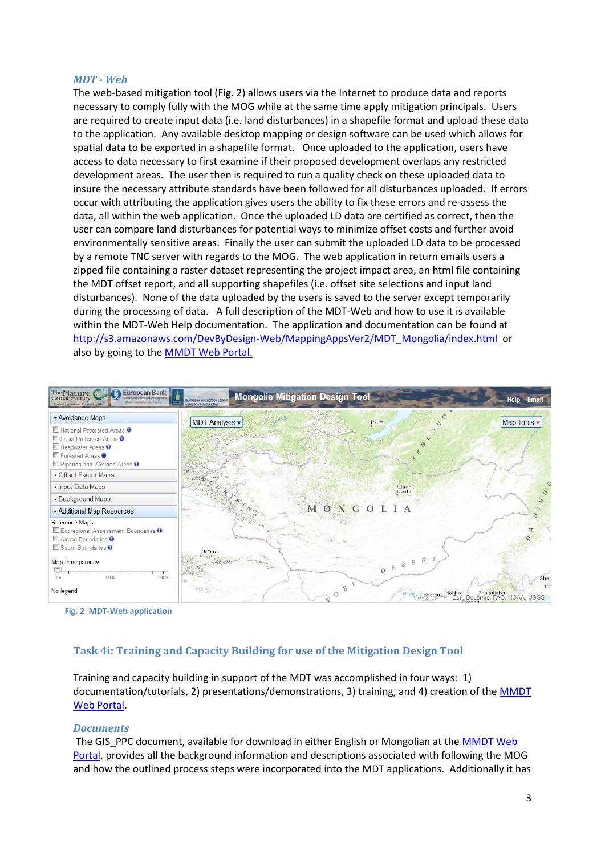#### *MDT - Web*

The web-based mitigation tool (Fig. 2) allows users via the Internet to produce data and reports necessary to comply fully with the MOG while at the same time apply mitigation principals. Users are required to create input data (i.e. land disturbances) in a shapefile format and upload these data to the application. Any available desktop mapping or design software can be used which allows for spatial data to be exported in a shapefile format. Once uploaded to the application, users have access to data necessary to first examine if their proposed development overlaps any restricted development areas. The user then is required to run a quality check on these uploaded data to insure the necessary attribute standards have been followed for all disturbances uploaded. If errors occur with attributing the application gives users the ability to fix these errors and re-assess the data, all within the web application. Once the uploaded LD data are certified as correct, then the user can compare land disturbances for potential ways to minimize offset costs and further avoid environmentally sensitive areas. Finally the user can submit the uploaded LD data to be processed by a remote TNC server with regards to the MOG. The web application in return emails users a zipped file containing a raster dataset representing the project impact area, an html file containing the MDT offset report, and all supporting shapefiles (i.e. offset site selections and input land disturbances). None of the data uploaded by the users is saved to the server except temporarily during the processing of data. A full description of the MDT-Web and how to use it is available within the MDT-Web Help documentation. The application and documentation can be found at http://s3.amazonaws.com/DevByDesign-Web/MappingAppsVer2/MDT\_Mongolia/index.html\_or also by going to the [MMDT Web Portal.](http://s3.amazonaws.com/DevByDesign-Web/MitDesignTool/index.html)



**Fig. 2 MDT-Web application**

## **Task 4i: Training and Capacity Building for use of the Mitigation Design Tool**

Training and capacity building in support of the MDT was accomplished in four ways: 1) documentation/tutorials, 2) presentations/demonstrations, 3) training, and 4) creation of th[e MMDT](http://s3.amazonaws.com/DevByDesign-Web/MitDesignTool/index.html)  [Web Portal.](http://s3.amazonaws.com/DevByDesign-Web/MitDesignTool/index.html)

#### *Documents*

The GIS PPC document, available for download in either English or Mongolian at the MMDT Web [Portal,](http://s3.amazonaws.com/DevByDesign-Web/MitDesignTool/index.html) provides all the background information and descriptions associated with following the MOG and how the outlined process steps were incorporated into the MDT applications. Additionally it has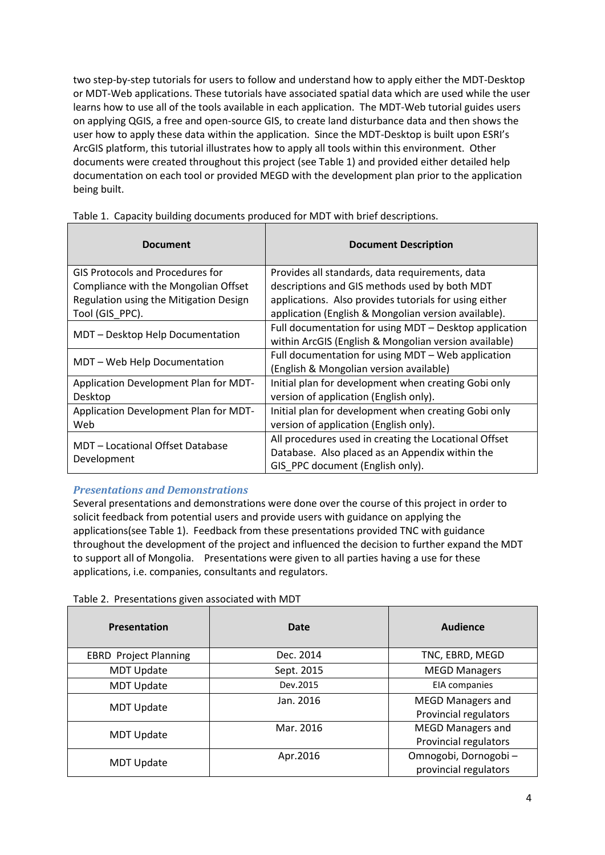two step-by-step tutorials for users to follow and understand how to apply either the MDT-Desktop or MDT-Web applications. These tutorials have associated spatial data which are used while the user learns how to use all of the tools available in each application. The MDT-Web tutorial guides users on applying QGIS, a free and open-source GIS, to create land disturbance data and then shows the user how to apply these data within the application. Since the MDT-Desktop is built upon ESRI's ArcGIS platform, this tutorial illustrates how to apply all tools within this environment. Other documents were created throughout this project (see Table 1) and provided either detailed help documentation on each tool or provided MEGD with the development plan prior to the application being built.

| <b>Document</b>                                 | <b>Document Description</b>                            |
|-------------------------------------------------|--------------------------------------------------------|
| <b>GIS Protocols and Procedures for</b>         | Provides all standards, data requirements, data        |
| Compliance with the Mongolian Offset            | descriptions and GIS methods used by both MDT          |
| Regulation using the Mitigation Design          | applications. Also provides tutorials for using either |
| Tool (GIS PPC).                                 | application (English & Mongolian version available).   |
| MDT - Desktop Help Documentation                | Full documentation for using MDT - Desktop application |
|                                                 | within ArcGIS (English & Mongolian version available)  |
| MDT - Web Help Documentation                    | Full documentation for using MDT - Web application     |
|                                                 | (English & Mongolian version available)                |
| Application Development Plan for MDT-           | Initial plan for development when creating Gobi only   |
| Desktop                                         | version of application (English only).                 |
| Application Development Plan for MDT-           | Initial plan for development when creating Gobi only   |
| Web                                             | version of application (English only).                 |
| MDT - Locational Offset Database<br>Development | All procedures used in creating the Locational Offset  |
|                                                 | Database. Also placed as an Appendix within the        |
|                                                 | GIS PPC document (English only).                       |

Table 1. Capacity building documents produced for MDT with brief descriptions.

## *Presentations and Demonstrations*

Several presentations and demonstrations were done over the course of this project in order to solicit feedback from potential users and provide users with guidance on applying the applications(see Table 1). Feedback from these presentations provided TNC with guidance throughout the development of the project and influenced the decision to further expand the MDT to support all of Mongolia. Presentations were given to all parties having a use for these applications, i.e. companies, consultants and regulators.

| Presentation                 | Date       | Audience                                          |
|------------------------------|------------|---------------------------------------------------|
| <b>EBRD Project Planning</b> | Dec. 2014  | TNC, EBRD, MEGD                                   |
| <b>MDT Update</b>            | Sept. 2015 | <b>MEGD Managers</b>                              |
| <b>MDT Update</b>            | Dev.2015   | <b>EIA</b> companies                              |
| <b>MDT Update</b>            | Jan. 2016  | <b>MEGD Managers and</b><br>Provincial regulators |
| <b>MDT Update</b>            | Mar. 2016  | <b>MEGD Managers and</b><br>Provincial regulators |
| <b>MDT Update</b>            | Apr.2016   | Omnogobi, Dornogobi-<br>provincial regulators     |

Table 2. Presentations given associated with MDT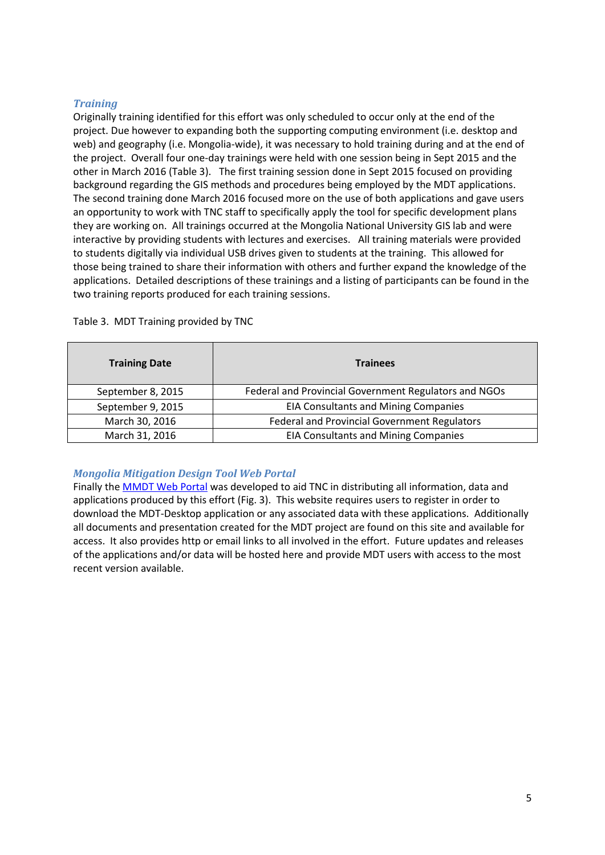#### *Training*

Originally training identified for this effort was only scheduled to occur only at the end of the project. Due however to expanding both the supporting computing environment (i.e. desktop and web) and geography (i.e. Mongolia-wide), it was necessary to hold training during and at the end of the project. Overall four one-day trainings were held with one session being in Sept 2015 and the other in March 2016 (Table 3). The first training session done in Sept 2015 focused on providing background regarding the GIS methods and procedures being employed by the MDT applications. The second training done March 2016 focused more on the use of both applications and gave users an opportunity to work with TNC staff to specifically apply the tool for specific development plans they are working on. All trainings occurred at the Mongolia National University GIS lab and were interactive by providing students with lectures and exercises. All training materials were provided to students digitally via individual USB drives given to students at the training. This allowed for those being trained to share their information with others and further expand the knowledge of the applications. Detailed descriptions of these trainings and a listing of participants can be found in the two training reports produced for each training sessions.

| <b>Training Date</b> | <b>Trainees</b>                                       |
|----------------------|-------------------------------------------------------|
| September 8, 2015    | Federal and Provincial Government Regulators and NGOs |
| September 9, 2015    | <b>EIA Consultants and Mining Companies</b>           |
| March 30, 2016       | Federal and Provincial Government Regulators          |
| March 31, 2016       | <b>EIA Consultants and Mining Companies</b>           |

Table 3. MDT Training provided by TNC

## *Mongolia Mitigation Design Tool Web Portal*

Finally th[e MMDT Web Portal](http://s3.amazonaws.com/DevByDesign-Web/MitDesignTool/index.html) was developed to aid TNC in distributing all information, data and applications produced by this effort (Fig. 3). This website requires users to register in order to download the MDT-Desktop application or any associated data with these applications. Additionally all documents and presentation created for the MDT project are found on this site and available for access. It also provides http or email links to all involved in the effort. Future updates and releases of the applications and/or data will be hosted here and provide MDT users with access to the most recent version available.